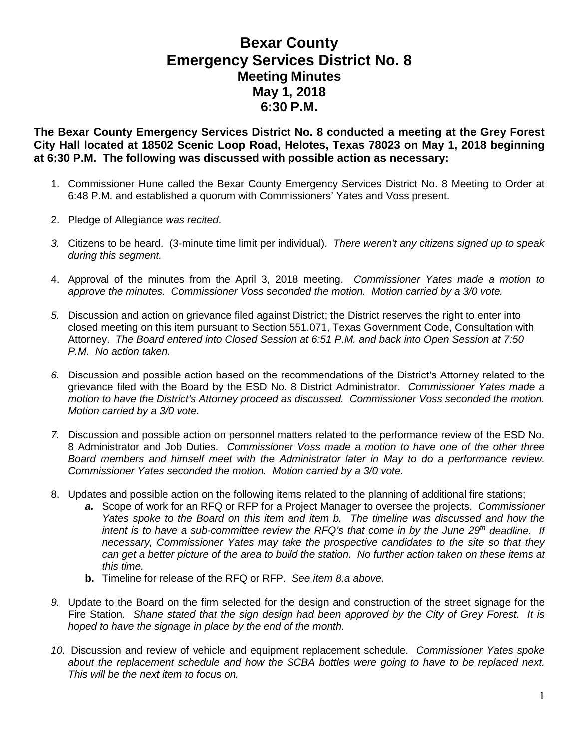## **Bexar County Emergency Services District No. 8 Meeting Minutes May 1, 2018 6:30 P.M.**

**The Bexar County Emergency Services District No. 8 conducted a meeting at the Grey Forest City Hall located at 18502 Scenic Loop Road, Helotes, Texas 78023 on May 1, 2018 beginning at 6:30 P.M. The following was discussed with possible action as necessary:**

- 1. Commissioner Hune called the Bexar County Emergency Services District No. 8 Meeting to Order at 6:48 P.M. and established a quorum with Commissioners' Yates and Voss present.
- 2. Pledge of Allegiance *was recited*.
- *3.* Citizens to be heard. (3-minute time limit per individual). *There weren't any citizens signed up to speak during this segment.*
- 4. Approval of the minutes from the April 3, 2018 meeting. *Commissioner Yates made a motion to approve the minutes. Commissioner Voss seconded the motion. Motion carried by a 3/0 vote.*
- *5.* Discussion and action on grievance filed against District; the District reserves the right to enter into closed meeting on this item pursuant to Section 551.071, Texas Government Code, Consultation with Attorney. *The Board entered into Closed Session at 6:51 P.M. and back into Open Session at 7:50 P.M. No action taken.*
- *6.* Discussion and possible action based on the recommendations of the District's Attorney related to the grievance filed with the Board by the ESD No. 8 District Administrator. *Commissioner Yates made a motion to have the District's Attorney proceed as discussed. Commissioner Voss seconded the motion. Motion carried by a 3/0 vote.*
- *7.* Discussion and possible action on personnel matters related to the performance review of the ESD No. 8 Administrator and Job Duties. *Commissioner Voss made a motion to have one of the other three Board members and himself meet with the Administrator later in May to do a performance review. Commissioner Yates seconded the motion. Motion carried by a 3/0 vote.*
- 8. Updates and possible action on the following items related to the planning of additional fire stations;
	- *a.* Scope of work for an RFQ or RFP for a Project Manager to oversee the projects. *Commissioner Yates spoke to the Board on this item and item b. The timeline was discussed and how the intent is to have a sub-committee review the RFQ's that come in by the June 29th deadline. If necessary, Commissioner Yates may take the prospective candidates to the site so that they can get a better picture of the area to build the station. No further action taken on these items at this time.*
	- **b.** Timeline for release of the RFQ or RFP. *See item 8.a above.*
- *9.* Update to the Board on the firm selected for the design and construction of the street signage for the Fire Station. *Shane stated that the sign design had been approved by the City of Grey Forest. It is hoped to have the signage in place by the end of the month.*
- *10.* Discussion and review of vehicle and equipment replacement schedule. *Commissioner Yates spoke about the replacement schedule and how the SCBA bottles were going to have to be replaced next. This will be the next item to focus on.*